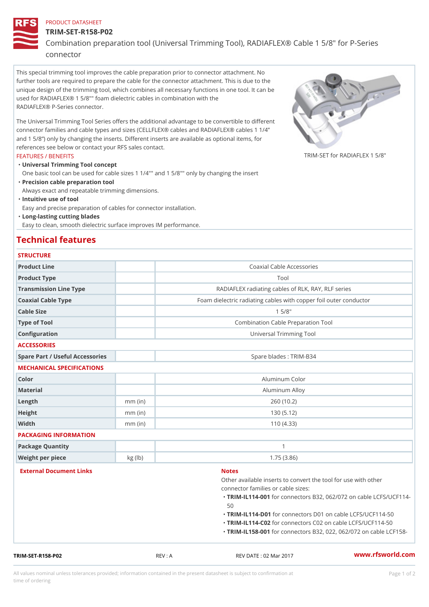## PRODUCT DATASHEET

### TRIM-SET-R158-P02

Combination preparation tool (Universal Trimming Tool), RADIAFLEX® connector

This special trimming tool improves the cable preparation prior to connector attachment. No further tools are required to prepare the cable for the connector attachment. This is due to the unique design of the trimming tool, which combines all necessary functions in one tool. It can be used for RADIAFLEX® 1 5/8"" foam dielectric cables in combination with the RADIAFLEX® P-Series connector.

The Universal Trimming Tool Series offers the additional advantage to be convertible to different connector families and cable types and sizes (CELLFLEX® cables and RADIAFLEX® cables 1 1/4 and 1 5/8 ) only by changing the inserts. Different inserts are available as optional items, for references see below or contact your RFS sales contact.

#### FEATURES / BENEFITS

TRIM-SET for RADIAFLEX  $1\overline{5}$ 

Universal Trimming Tool concept "

One basic tool can be used for cable sizes 1 1/4"" and 1 5/8"" only by changing the insert Precision cable preparation tool "

Always exact and repeatable trimming dimensions.

"Intuitive use of tool

Easy and precise preparation of cables for connector installation.

Long-lasting cutting blades "

Easy to clean, smooth dielectric surface improves IM performance.

# Technical features

## STRUCTURE.

| Product Line                    |           | Coaxial Cable Accessories                                 |
|---------------------------------|-----------|-----------------------------------------------------------|
| Product Type                    |           | Tool                                                      |
| Transmission Line Type          |           | RADIAFLEX radiating cables of RLK, RAY, RLF serio         |
| Coaxial Cable Type              |           | Foam dielectric radiating cables with copper foil outer c |
| Cable Size                      |           | 15/8"                                                     |
| Type of Tool                    |           | Combination Cable Preparation Tool                        |
| Configuration                   |           | Universal Trimming Tool                                   |
| <b>ACCESSORIES</b>              |           |                                                           |
| Spare Part / Useful Accessories |           | Spare blades : TRIM-B34                                   |
| MECHANICAL SPECIFICATIONS       |           |                                                           |
| Color                           |           | Aluminum Color                                            |
| Material                        |           | Aluminum Alloy                                            |
| Length                          | $mm$ (in) | 260(10.2)                                                 |
| Height                          | $mm$ (in) | 130(5.12)                                                 |
| Width                           | $mm$ (in) | 110(4.33)                                                 |
| PACKAGING INFORMATION           |           |                                                           |
| Package Quantity                |           | $\mathbf{1}$                                              |
| Weight per piece                | kg(lb)    | 1.75(3.86)                                                |
| External Document Links         |           | <b>Notes</b>                                              |
|                                 |           | Other available inserts to convert the tool for use       |
|                                 |           | connector families or cable sizes:                        |
|                                 |           | "TRIM-IL114f00 tonnectors B32, 062/072 on cable<br>50     |
|                                 |           | "TRIM-IL114fD0 tonnectors D01 on cable LCFS / UC          |
|                                 |           | "TRIM-IL114f602onnectors C02 on cable LCFS/UC             |
|                                 |           | "TRIM-IL158f00 connectors B32, 022, 062/072 pn o          |

### TRIM-SET-R158-P02 REV : A REV DATE : 02 Mar 2017 [www.](https://www.rfsworld.com)rfsworld.com

All values nominal unless tolerances provided; information contained in the present datasheet is subject to Pcapgeign manation time of ordering